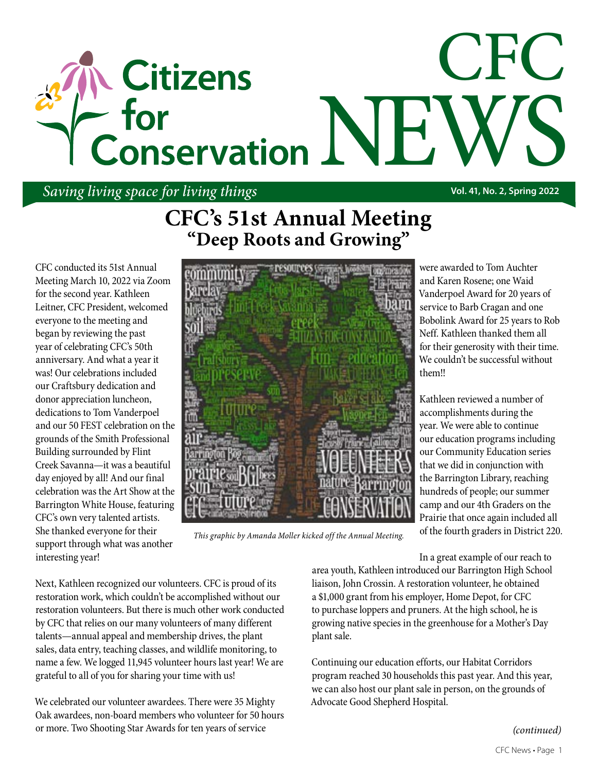# CFC **Citizens** - for Conservation NH

### *Saving living space for living things* **Vol. 41, No. 2, Spring 2022**

CFC conducted its 51st Annual Meeting March 10, 2022 via Zoom for the second year. Kathleen Leitner, CFC President, welcomed everyone to the meeting and began by reviewing the past<br>vear of celebrating CEC's 50th year of celebrating CFC's 50th anniversary. And what a year it anniversary. And what a year it<br>was! Our celebrations included our Craftsbury dedication and donor appreciation luncheon, dedications to Tom Vanderpoel and our 50 FEST celebration on the and our 50 FEST celebration on the<br>grounds of the Smith Professional Building surrounded by Flint Creek Savanna—it was a beautiful day enjoyed by all! And our final celebration was the Art Show at the celebration was the Art Snow at the<br>Barrington White House, featuring CFC's own very talented artists. She thanked everyone for their support through what was another interesting year!

## **CFC's 51st Annual Meeting "Deep Roots and Growing"**



*This graphic by Amanda Moller kicked off the Annual Meeting.*

were awarded to Tom Auchter and Karen Rosene; one Waid Vanderpoel Award for 20 years of service to Barb Cragan and one Bobolink Award for 25 years to Rob Neff. Kathleen thanked them all for their generosity with their time. We couldn't be successful without them!!

Kathleen reviewed a number of accomplishments during the year. We were able to continue our education programs including our Community Education series that we did in conjunction with the Barrington Library, reaching hundreds of people; our summer camp and our 4th Graders on the Prairie that once again included all of the fourth graders in District 220.

In a great example of our reach to

Next, Kathleen recognized our volunteers. CFC is proud of its restoration work, which couldn't be accomplished without our restoration volunteers. But there is much other work conducted by CFC that relies on our many volunteers of many different talents—annual appeal and membership drives, the plant sales, data entry, teaching classes, and wildlife monitoring, to name a few. We logged 11,945 volunteer hours last year! We are grateful to all of you for sharing your time with us!

We celebrated our volunteer awardees. There were 35 Mighty Oak awardees, non-board members who volunteer for 50 hours or more. Two Shooting Star Awards for ten years of service

area youth, Kathleen introduced our Barrington High School liaison, John Crossin. A restoration volunteer, he obtained a \$1,000 grant from his employer, Home Depot, for CFC to purchase loppers and pruners. At the high school, he is growing native species in the greenhouse for a Mother's Day plant sale.

Continuing our education efforts, our Habitat Corridors program reached 30 households this past year. And this year, we can also host our plant sale in person, on the grounds of Advocate Good Shepherd Hospital.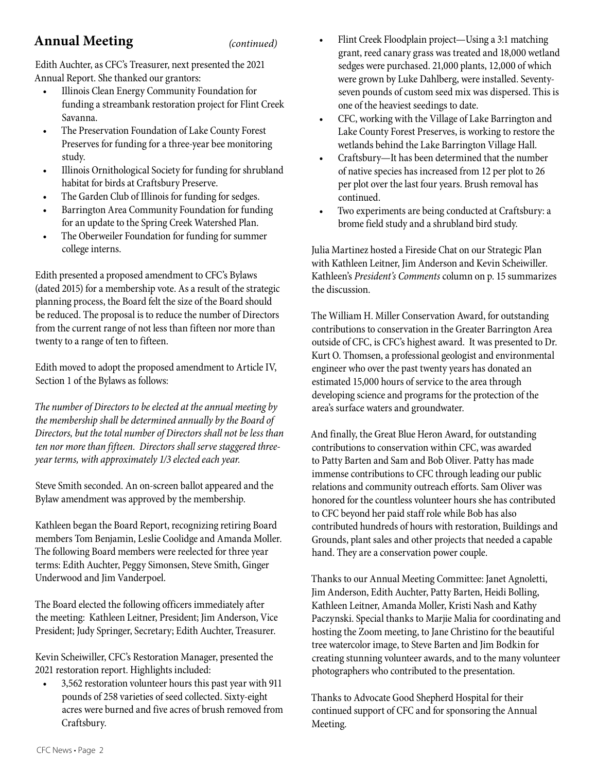#### **Annual Meeting** *(continued)*

Edith Auchter, as CFC's Treasurer, next presented the 2021 Annual Report. She thanked our grantors:

- Illinois Clean Energy Community Foundation for funding a streambank restoration project for Flint Creek Savanna.
- The Preservation Foundation of Lake County Forest Preserves for funding for a three-year bee monitoring study.
- Illinois Ornithological Society for funding for shrubland habitat for birds at Craftsbury Preserve.
- The Garden Club of Illinois for funding for sedges.
- Barrington Area Community Foundation for funding for an update to the Spring Creek Watershed Plan.
- The Oberweiler Foundation for funding for summer college interns.

Edith presented a proposed amendment to CFC's Bylaws (dated 2015) for a membership vote. As a result of the strategic planning process, the Board felt the size of the Board should be reduced. The proposal is to reduce the number of Directors from the current range of not less than fifteen nor more than twenty to a range of ten to fifteen.

Edith moved to adopt the proposed amendment to Article IV, Section 1 of the Bylaws as follows:

*The number of Directors to be elected at the annual meeting by the membership shall be determined annually by the Board of Directors, but the total number of Directors shall not be less than ten nor more than fifteen. Directors shall serve staggered threeyear terms, with approximately 1/3 elected each year.*

Steve Smith seconded. An on-screen ballot appeared and the Bylaw amendment was approved by the membership.

Kathleen began the Board Report, recognizing retiring Board members Tom Benjamin, Leslie Coolidge and Amanda Moller. The following Board members were reelected for three year terms: Edith Auchter, Peggy Simonsen, Steve Smith, Ginger Underwood and Jim Vanderpoel.

The Board elected the following officers immediately after the meeting: Kathleen Leitner, President; Jim Anderson, Vice President; Judy Springer, Secretary; Edith Auchter, Treasurer.

Kevin Scheiwiller, CFC's Restoration Manager, presented the 2021 restoration report. Highlights included:

• 3,562 restoration volunteer hours this past year with 911 pounds of 258 varieties of seed collected. Sixty-eight acres were burned and five acres of brush removed from Craftsbury.

- Flint Creek Floodplain project—Using a 3:1 matching grant, reed canary grass was treated and 18,000 wetland sedges were purchased. 21,000 plants, 12,000 of which were grown by Luke Dahlberg, were installed. Seventyseven pounds of custom seed mix was dispersed. This is one of the heaviest seedings to date.
- CFC, working with the Village of Lake Barrington and Lake County Forest Preserves, is working to restore the wetlands behind the Lake Barrington Village Hall.
- Craftsbury—It has been determined that the number of native species has increased from 12 per plot to 26 per plot over the last four years. Brush removal has continued.
- Two experiments are being conducted at Craftsbury: a brome field study and a shrubland bird study.

Julia Martinez hosted a Fireside Chat on our Strategic Plan with Kathleen Leitner, Jim Anderson and Kevin Scheiwiller. Kathleen's *President's Comments* column on p. 15 summarizes the discussion.

The William H. Miller Conservation Award, for outstanding contributions to conservation in the Greater Barrington Area outside of CFC, is CFC's highest award. It was presented to Dr. Kurt O. Thomsen, a professional geologist and environmental engineer who over the past twenty years has donated an estimated 15,000 hours of service to the area through developing science and programs for the protection of the area's surface waters and groundwater.

And finally, the Great Blue Heron Award, for outstanding contributions to conservation within CFC, was awarded to Patty Barten and Sam and Bob Oliver. Patty has made immense contributions to CFC through leading our public relations and community outreach efforts. Sam Oliver was honored for the countless volunteer hours she has contributed to CFC beyond her paid staff role while Bob has also contributed hundreds of hours with restoration, Buildings and Grounds, plant sales and other projects that needed a capable hand. They are a conservation power couple.

Thanks to our Annual Meeting Committee: Janet Agnoletti, Jim Anderson, Edith Auchter, Patty Barten, Heidi Bolling, Kathleen Leitner, Amanda Moller, Kristi Nash and Kathy Paczynski. Special thanks to Marjie Malia for coordinating and hosting the Zoom meeting, to Jane Christino for the beautiful tree watercolor image, to Steve Barten and Jim Bodkin for creating stunning volunteer awards, and to the many volunteer photographers who contributed to the presentation.

Thanks to Advocate Good Shepherd Hospital for their continued support of CFC and for sponsoring the Annual Meeting.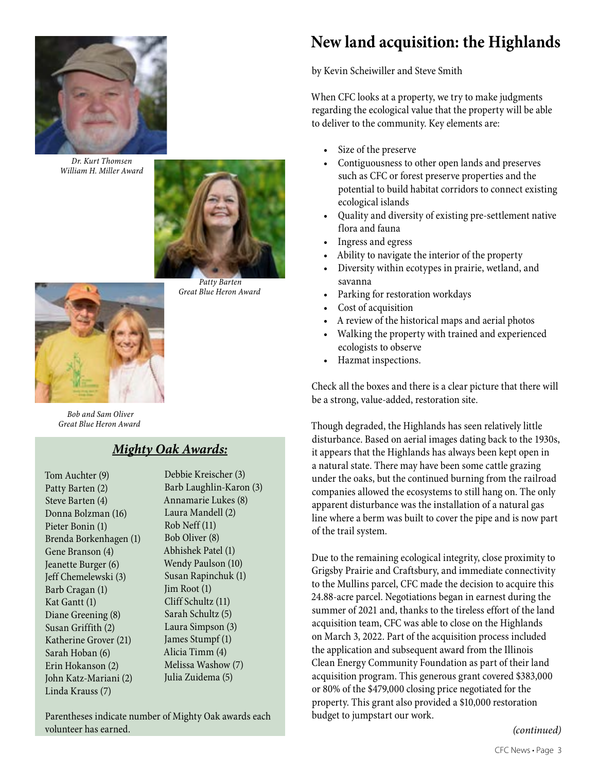

*Dr. Kurt Thomsen William H. Miller Award*



 *Patty Barten Great Blue Heron Award*

#### *Bob and Sam Oliver Great Blue Heron Award*

#### *Mighty Oak Awards:*

Tom Auchter (9) Patty Barten (2) Steve Barten (4) Donna Bolzman (16) Pieter Bonin (1) Brenda Borkenhagen (1) Gene Branson (4) Jeanette Burger (6) Jeff Chemelewski (3) Barb Cragan (1) Kat Gantt (1) Diane Greening (8) Susan Griffith (2) Katherine Grover (21) Sarah Hoban (6) Erin Hokanson (2) John Katz-Mariani (2) Linda Krauss (7)

Debbie Kreischer (3) Barb Laughlin-Karon (3) Annamarie Lukes (8) Laura Mandell (2) Rob Neff (11) Bob Oliver (8) Abhishek Patel (1) Wendy Paulson (10) Susan Rapinchuk (1) Jim Root (1) Cliff Schultz (11) Sarah Schultz (5) Laura Simpson (3) James Stumpf (1) Alicia Timm (4) Melissa Washow (7) Julia Zuidema (5)

Parentheses indicate number of Mighty Oak awards each volunteer has earned.

### **New land acquisition: the Highlands**

by Kevin Scheiwiller and Steve Smith

When CFC looks at a property, we try to make judgments regarding the ecological value that the property will be able to deliver to the community. Key elements are:

- Size of the preserve
- Contiguousness to other open lands and preserves such as CFC or forest preserve properties and the potential to build habitat corridors to connect existing ecological islands
- Quality and diversity of existing pre-settlement native flora and fauna
- Ingress and egress
- Ability to navigate the interior of the property
- Diversity within ecotypes in prairie, wetland, and savanna
- Parking for restoration workdays
- Cost of acquisition
- A review of the historical maps and aerial photos
- Walking the property with trained and experienced ecologists to observe
- Hazmat inspections.

Check all the boxes and there is a clear picture that there will be a strong, value-added, restoration site.

Though degraded, the Highlands has seen relatively little disturbance. Based on aerial images dating back to the 1930s, it appears that the Highlands has always been kept open in a natural state. There may have been some cattle grazing under the oaks, but the continued burning from the railroad companies allowed the ecosystems to still hang on. The only apparent disturbance was the installation of a natural gas line where a berm was built to cover the pipe and is now part of the trail system.

Due to the remaining ecological integrity, close proximity to Grigsby Prairie and Craftsbury, and immediate connectivity to the Mullins parcel, CFC made the decision to acquire this 24.88-acre parcel. Negotiations began in earnest during the summer of 2021 and, thanks to the tireless effort of the land acquisition team, CFC was able to close on the Highlands on March 3, 2022. Part of the acquisition process included the application and subsequent award from the Illinois Clean Energy Community Foundation as part of their land acquisition program. This generous grant covered \$383,000 or 80% of the \$479,000 closing price negotiated for the property. This grant also provided a \$10,000 restoration budget to jumpstart our work.

*(continued)*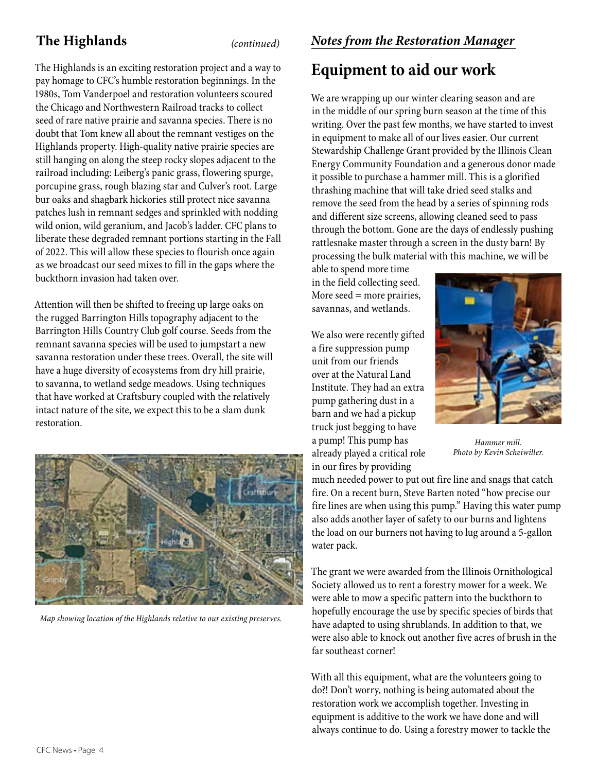### **The Highlands** *(continued)*

The Highlands is an exciting restoration project and a way to pay homage to CFC's humble restoration beginnings. In the 1980s, Tom Vanderpoel and restoration volunteers scoured the Chicago and Northwestern Railroad tracks to collect seed of rare native prairie and savanna species. There is no doubt that Tom knew all about the remnant vestiges on the Highlands property. High-quality native prairie species are still hanging on along the steep rocky slopes adjacent to the railroad including: Leiberg's panic grass, flowering spurge, porcupine grass, rough blazing star and Culver's root. Large bur oaks and shagbark hickories still protect nice savanna patches lush in remnant sedges and sprinkled with nodding wild onion, wild geranium, and Jacob's ladder. CFC plans to liberate these degraded remnant portions starting in the Fall of 2022. This will allow these species to flourish once again as we broadcast our seed mixes to fill in the gaps where the buckthorn invasion had taken over.

Attention will then be shifted to freeing up large oaks on the rugged Barrington Hills topography adjacent to the Barrington Hills Country Club golf course. Seeds from the remnant savanna species will be used to jumpstart a new savanna restoration under these trees. Overall, the site will have a huge diversity of ecosystems from dry hill prairie, to savanna, to wetland sedge meadows. Using techniques that have worked at Craftsbury coupled with the relatively intact nature of the site, we expect this to be a slam dunk restoration.



*Map showing location of the Highlands relative to our existing preserves.*

### **Equipment to aid our work**

We are wrapping up our winter clearing season and are in the middle of our spring burn season at the time of this writing. Over the past few months, we have started to invest in equipment to make all of our lives easier. Our current Stewardship Challenge Grant provided by the Illinois Clean Energy Community Foundation and a generous donor made it possible to purchase a hammer mill. This is a glorified thrashing machine that will take dried seed stalks and remove the seed from the head by a series of spinning rods and different size screens, allowing cleaned seed to pass through the bottom. Gone are the days of endlessly pushing rattlesnake master through a screen in the dusty barn! By processing the bulk material with this machine, we will be

able to spend more time in the field collecting seed. More seed  $=$  more prairies, savannas, and wetlands.

We also were recently gifted a fire suppression pump unit from our friends over at the Natural Land Institute. They had an extra pump gathering dust in a barn and we had a pickup truck just begging to have a pump! This pump has already played a critical role in our fires by providing



*Hammer mill. Photo by Kevin Scheiwiller.*

much needed power to put out fire line and snags that catch fire. On a recent burn, Steve Barten noted "how precise our fire lines are when using this pump." Having this water pump also adds another layer of safety to our burns and lightens the load on our burners not having to lug around a 5-gallon water pack.

The grant we were awarded from the Illinois Ornithological Society allowed us to rent a forestry mower for a week. We were able to mow a specific pattern into the buckthorn to hopefully encourage the use by specific species of birds that have adapted to using shrublands. In addition to that, we were also able to knock out another five acres of brush in the far southeast corner!

With all this equipment, what are the volunteers going to do?! Don't worry, nothing is being automated about the restoration work we accomplish together. Investing in equipment is additive to the work we have done and will always continue to do. Using a forestry mower to tackle the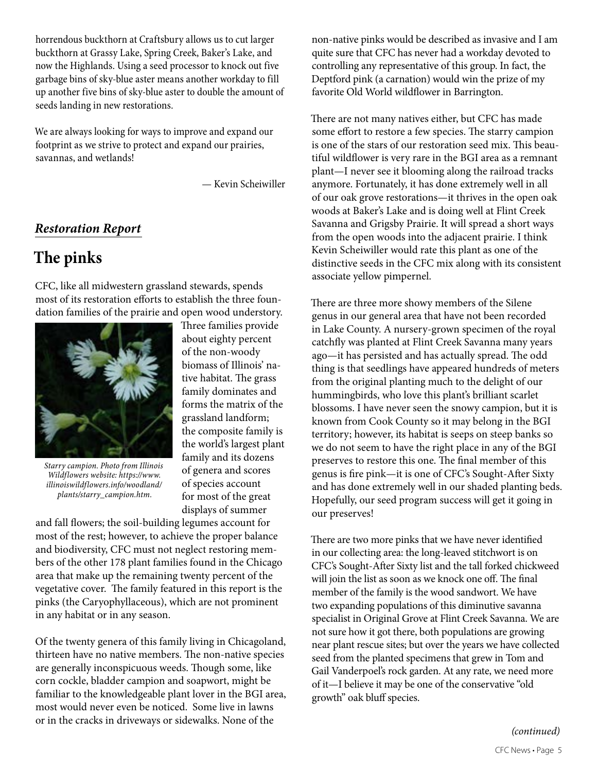horrendous buckthorn at Craftsbury allows us to cut larger buckthorn at Grassy Lake, Spring Creek, Baker's Lake, and now the Highlands. Using a seed processor to knock out five garbage bins of sky-blue aster means another workday to fill up another five bins of sky-blue aster to double the amount of seeds landing in new restorations.

We are always looking for ways to improve and expand our footprint as we strive to protect and expand our prairies, savannas, and wetlands!

— Kevin Scheiwiller

#### *Restoration Report*

### **The pinks**

CFC, like all midwestern grassland stewards, spends most of its restoration efforts to establish the three foundation families of the prairie and open wood understory.



*Starry campion. Photo from Illinois Wildflowers website: https://www. illinoiswildflowers.info/woodland/ plants/starry\_campion.htm.*

Three families provide about eighty percent of the non-woody biomass of Illinois' native habitat. The grass family dominates and forms the matrix of the grassland landform; the composite family is the world's largest plant family and its dozens of genera and scores of species account for most of the great displays of summer

and fall flowers; the soil-building legumes account for most of the rest; however, to achieve the proper balance and biodiversity, CFC must not neglect restoring members of the other 178 plant families found in the Chicago area that make up the remaining twenty percent of the vegetative cover. The family featured in this report is the pinks (the Caryophyllaceous), which are not prominent in any habitat or in any season.

Of the twenty genera of this family living in Chicagoland, thirteen have no native members. The non-native species are generally inconspicuous weeds. Though some, like corn cockle, bladder campion and soapwort, might be familiar to the knowledgeable plant lover in the BGI area, most would never even be noticed. Some live in lawns or in the cracks in driveways or sidewalks. None of the

non-native pinks would be described as invasive and I am quite sure that CFC has never had a workday devoted to controlling any representative of this group. In fact, the Deptford pink (a carnation) would win the prize of my favorite Old World wildflower in Barrington.

There are not many natives either, but CFC has made some effort to restore a few species. The starry campion is one of the stars of our restoration seed mix. This beautiful wildflower is very rare in the BGI area as a remnant plant—I never see it blooming along the railroad tracks anymore. Fortunately, it has done extremely well in all of our oak grove restorations—it thrives in the open oak woods at Baker's Lake and is doing well at Flint Creek Savanna and Grigsby Prairie. It will spread a short ways from the open woods into the adjacent prairie. I think Kevin Scheiwiller would rate this plant as one of the distinctive seeds in the CFC mix along with its consistent associate yellow pimpernel.

There are three more showy members of the Silene genus in our general area that have not been recorded in Lake County. A nursery-grown specimen of the royal catchfly was planted at Flint Creek Savanna many years ago—it has persisted and has actually spread. The odd thing is that seedlings have appeared hundreds of meters from the original planting much to the delight of our hummingbirds, who love this plant's brilliant scarlet blossoms. I have never seen the snowy campion, but it is known from Cook County so it may belong in the BGI territory; however, its habitat is seeps on steep banks so we do not seem to have the right place in any of the BGI preserves to restore this one. The final member of this genus is fire pink—it is one of CFC's Sought-After Sixty and has done extremely well in our shaded planting beds. Hopefully, our seed program success will get it going in our preserves!

There are two more pinks that we have never identified in our collecting area: the long-leaved stitchwort is on CFC's Sought-After Sixty list and the tall forked chickweed will join the list as soon as we knock one off. The final member of the family is the wood sandwort. We have two expanding populations of this diminutive savanna specialist in Original Grove at Flint Creek Savanna. We are not sure how it got there, both populations are growing near plant rescue sites; but over the years we have collected seed from the planted specimens that grew in Tom and Gail Vanderpoel's rock garden. At any rate, we need more of it—I believe it may be one of the conservative "old growth" oak bluff species.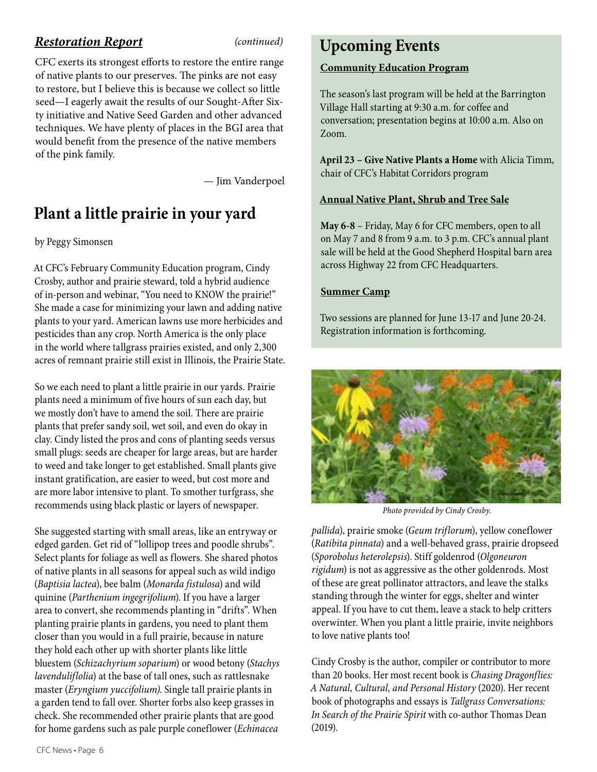#### *Restoration Report (continued)*

CFC exerts its strongest efforts to restore the entire range of native plants to our preserves. The pinks are not easy to restore, but I believe this is because we collect so little seed—I eagerly await the results of our Sought-After Sixty initiative and Native Seed Garden and other advanced techniques. We have plenty of places in the BGI area that would benefit from the presence of the native members of the pink family.

— Jim Vanderpoel

### **Plant a little prairie in your yard**

#### by Peggy Simonsen

At CFC's February Community Education program, Cindy Crosby, author and prairie steward, told a hybrid audience of in-person and webinar, "You need to KNOW the prairie!" She made a case for minimizing your lawn and adding native plants to your yard. American lawns use more herbicides and pesticides than any crop. North America is the only place in the world where tallgrass prairies existed, and only 2,300 acres of remnant prairie still exist in Illinois, the Prairie State.

So we each need to plant a little prairie in our yards. Prairie plants need a minimum of five hours of sun each day, but we mostly don't have to amend the soil. There are prairie plants that prefer sandy soil, wet soil, and even do okay in clay. Cindy listed the pros and cons of planting seeds versus small plugs: seeds are cheaper for large areas, but are harder to weed and take longer to get established. Small plants give instant gratification, are easier to weed, but cost more and are more labor intensive to plant. To smother turfgrass, she recommends using black plastic or layers of newspaper.

She suggested starting with small areas, like an entryway or edged garden. Get rid of "lollipop trees and poodle shrubs". Select plants for foliage as well as flowers. She shared photos of native plants in all seasons for appeal such as wild indigo (*Baptisia lactea*), bee balm (*Monarda fistulosa*) and wild quinine (*Parthenium ingegrifolium*). If you have a larger area to convert, she recommends planting in "drifts". When planting prairie plants in gardens, you need to plant them closer than you would in a full prairie, because in nature they hold each other up with shorter plants like little bluestem (*Schizachyrium soparium*) or wood betony (*Stachys lavenduliflolia*) at the base of tall ones, such as rattlesnake master (*Eryngium yuccifolium)*. Single tall prairie plants in a garden tend to fall over. Shorter forbs also keep grasses in check. She recommended other prairie plants that are good for home gardens such as pale purple coneflower (*Echinacea* 

### **Upcoming Events**

#### **Community Education Program**

The season's last program will be held at the Barrington Village Hall starting at 9:30 a.m. for coffee and conversation; presentation begins at 10:00 a.m. Also on Zoom.

**April 23 – Give Native Plants a Home** with Alicia Timm, chair of CFC's Habitat Corridors program

#### **Annual Native Plant, Shrub and Tree Sale**

**May 6-8** – Friday, May 6 for CFC members, open to all on May 7 and 8 from 9 a.m. to 3 p.m. CFC's annual plant sale will be held at the Good Shepherd Hospital barn area across Highway 22 from CFC Headquarters.

#### **Summer Camp**

Two sessions are planned for June 13-17 and June 20-24. Registration information is forthcoming.



*Photo provided by Cindy Crosby.*

*pallida*), prairie smoke (*Geum triflorum*), yellow coneflower (*Ratibita pinnata*) and a well-behaved grass, prairie dropseed (*Sporobolus heterolepsis*). Stiff goldenrod (*Olgoneuron rigidum*) is not as aggressive as the other goldenrods. Most of these are great pollinator attractors, and leave the stalks standing through the winter for eggs, shelter and winter appeal. If you have to cut them, leave a stack to help critters overwinter. When you plant a little prairie, invite neighbors to love native plants too!

Cindy Crosby is the author, compiler or contributor to more than 20 books. Her most recent book is *Chasing Dragonflies: A Natural, Cultural, and Personal History* (2020). Her recent book of photographs and essays is *Tallgrass Conversations: In Search of the Prairie Spirit* with co-author Thomas Dean (2019).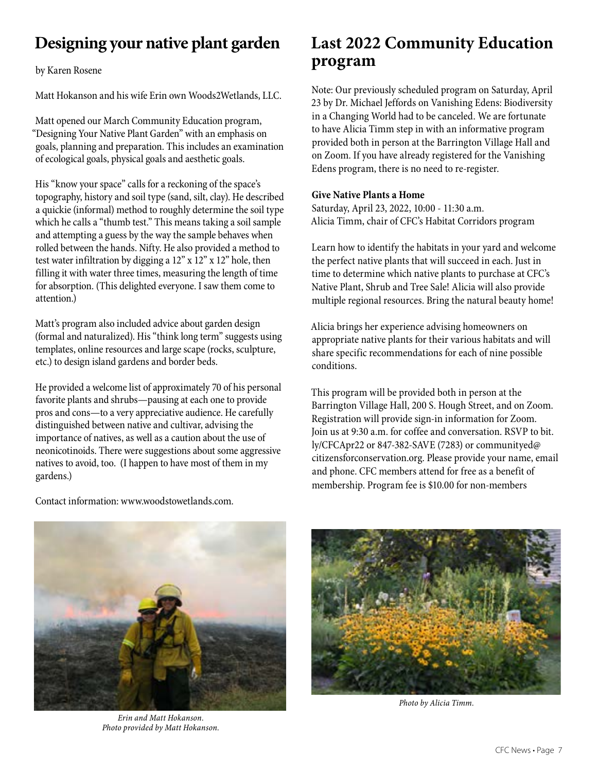### **Designing your native plant garden**

by Karen Rosene

Matt Hokanson and his wife Erin own Woods2Wetlands, LLC.

Matt opened our March Community Education program, "Designing Your Native Plant Garden" with an emphasis on goals, planning and preparation. This includes an examination of ecological goals, physical goals and aesthetic goals.

His "know your space" calls for a reckoning of the space's topography, history and soil type (sand, silt, clay). He described a quickie (informal) method to roughly determine the soil type which he calls a "thumb test." This means taking a soil sample and attempting a guess by the way the sample behaves when rolled between the hands. Nifty. He also provided a method to test water infiltration by digging a  $12$ " x  $12$ " x  $12$ " hole, then filling it with water three times, measuring the length of time for absorption. (This delighted everyone. I saw them come to attention.)

Matt's program also included advice about garden design (formal and naturalized). His "think long term" suggests using templates, online resources and large scape (rocks, sculpture, etc.) to design island gardens and border beds.

He provided a welcome list of approximately 70 of his personal favorite plants and shrubs—pausing at each one to provide pros and cons—to a very appreciative audience. He carefully distinguished between native and cultivar, advising the importance of natives, as well as a caution about the use of neonicotinoids. There were suggestions about some aggressive natives to avoid, too. (I happen to have most of them in my gardens.)

Contact information: www.woodstowetlands.com.

### **Last 2022 Community Education program**

Note: Our previously scheduled program on Saturday, April 23 by Dr. Michael Jeffords on Vanishing Edens: Biodiversity in a Changing World had to be canceled. We are fortunate to have Alicia Timm step in with an informative program provided both in person at the Barrington Village Hall and on Zoom. If you have already registered for the Vanishing Edens program, there is no need to re-register.

#### **Give Native Plants a Home**

Saturday, April 23, 2022, 10:00 - 11:30 a.m. Alicia Timm, chair of CFC's Habitat Corridors program

Native Plant, Shrub and Tree Sale! Alicia will also provide<br>multiple regional resources. Bring the natural beauty home! Learn how to identify the habitats in your yard and welcome the perfect native plants that will succeed in each. Just in time to determine which native plants to purchase at CFC's Native Plant, Shrub and Tree Sale! Alicia will also provide

Alicia brings her experience advising homeowners on appropriate native plants for their various habitats and will  $\lambda$  have an existence propriate native plants for the factor approximately Matt will discuss elements of garden design and share plant combishare specific recommendations for each of nine possible conditions.

This program will be provided both in person at the I his program will be provided both in person at the<br>Barrington Village Hall, 200 S. Hough Street, and on Zoom. Join us at 9:30 a.m. for coffee and conversation. RSVP to bit.<br>Jy/CEC Apr22 or 847.382.5 AVE (7283) or communityed@ citizensforconservation.org. Please provide your name, email and phone. CFC members attend for free as a benefit of<br>membership Program fee is \$10.00 for non-members Registration will provide sign-in information for Zoom. ly/CFCApr22 or 847-382-SAVE (7283) or communityed@ membership. Program fee is \$10.00 for non-members



*Erin and Matt Hokanson. Photo provided by Matt Hokanson.*



*Photo by Alicia Timm.*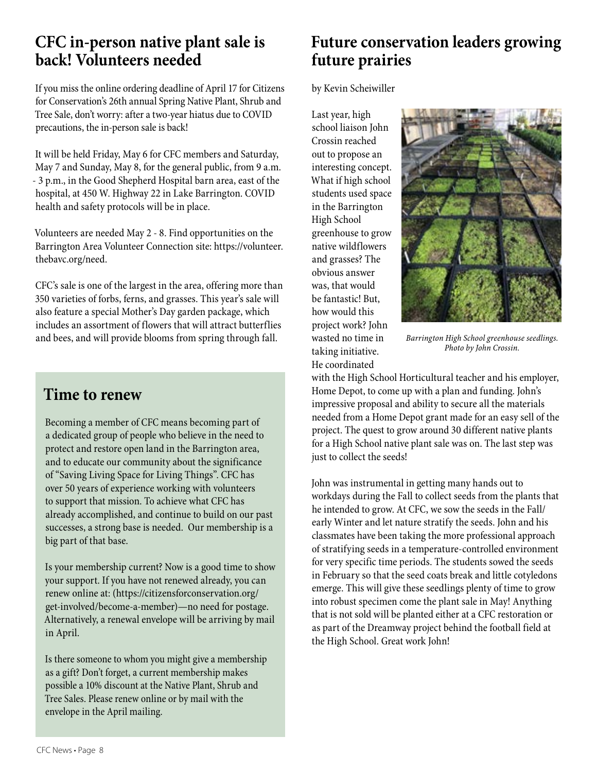### **CFC in-person native plant sale is back! Volunteers needed**

If you miss the online ordering deadline of April 17 for Citizens for Conservation's 26th annual Spring Native Plant, Shrub and Tree Sale, don't worry: after a two-year hiatus due to COVID precautions, the in-person sale is back!

It will be held Friday, May 6 for CFC members and Saturday, May 7 and Sunday, May 8, for the general public, from 9 a.m. - 3 p.m., in the Good Shepherd Hospital barn area, east of the hospital, at 450 W. Highway 22 in Lake Barrington. COVID health and safety protocols will be in place.

Volunteers are needed May 2 - 8. Find opportunities on the Barrington Area Volunteer Connection site: https://volunteer. thebavc.org/need.

CFC's sale is one of the largest in the area, offering more than 350 varieties of forbs, ferns, and grasses. This year's sale will also feature a special Mother's Day garden package, which includes an assortment of flowers that will attract butterflies and bees, and will provide blooms from spring through fall.

### **Time to renew**

Becoming a member of CFC means becoming part of a dedicated group of people who believe in the need to protect and restore open land in the Barrington area, and to educate our community about the significance of "Saving Living Space for Living Things". CFC has over 50 years of experience working with volunteers to support that mission. To achieve what CFC has already accomplished, and continue to build on our past successes, a strong base is needed. Our membership is a big part of that base.

Is your membership current? Now is a good time to show your support. If you have not renewed already, you can renew online at: (https://citizensforconservation.org/ get-involved/become-a-member)—no need for postage. Alternatively, a renewal envelope will be arriving by mail in April.

Is there someone to whom you might give a membership as a gift? Don't forget, a current membership makes possible a 10% discount at the Native Plant, Shrub and Tree Sales. Please renew online or by mail with the envelope in the April mailing.

### **Future conservation leaders growing future prairies**

by Kevin Scheiwiller

Last year, high school liaison John Crossin reached out to propose an interesting concept. What if high school students used space in the Barrington High School greenhouse to grow native wildflowers and grasses? The obvious answer was, that would be fantastic! But, how would this project work? John wasted no time in taking initiative. He coordinated



*Barrington High School greenhouse seedlings. Photo by John Crossin.*

with the High School Horticultural teacher and his employer, Home Depot, to come up with a plan and funding. John's impressive proposal and ability to secure all the materials needed from a Home Depot grant made for an easy sell of the project. The quest to grow around 30 different native plants for a High School native plant sale was on. The last step was just to collect the seeds!

John was instrumental in getting many hands out to workdays during the Fall to collect seeds from the plants that he intended to grow. At CFC, we sow the seeds in the Fall/ early Winter and let nature stratify the seeds. John and his classmates have been taking the more professional approach of stratifying seeds in a temperature-controlled environment for very specific time periods. The students sowed the seeds in February so that the seed coats break and little cotyledons emerge. This will give these seedlings plenty of time to grow into robust specimen come the plant sale in May! Anything that is not sold will be planted either at a CFC restoration or as part of the Dreamway project behind the football field at the High School. Great work John!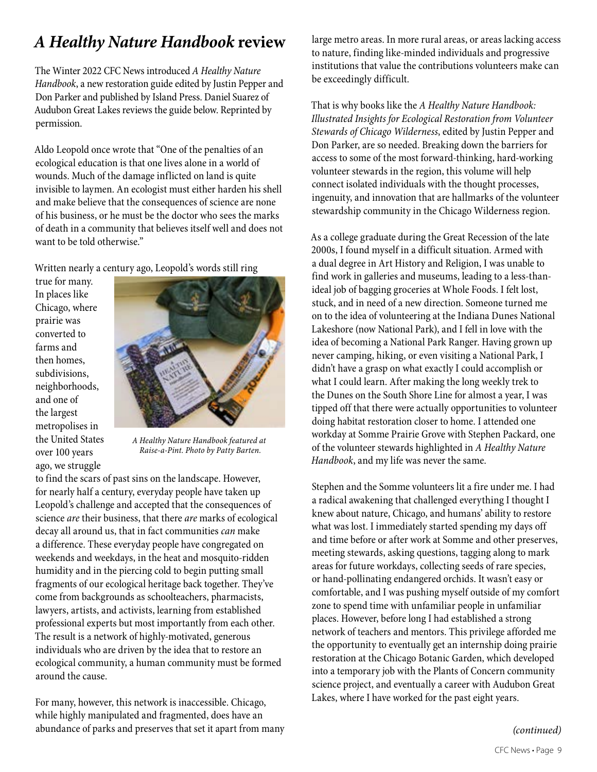### *A Healthy Nature Handbook* **review**

The Winter 2022 CFC News introduced *A Healthy Nature Handbook*, a new restoration guide edited by Justin Pepper and Don Parker and published by Island Press. Daniel Suarez of Audubon Great Lakes reviews the guide below. Reprinted by permission.

Aldo Leopold once wrote that "One of the penalties of an ecological education is that one lives alone in a world of wounds. Much of the damage inflicted on land is quite invisible to laymen. An ecologist must either harden his shell and make believe that the consequences of science are none of his business, or he must be the doctor who sees the marks of death in a community that believes itself well and does not want to be told otherwise."

Written nearly a century ago, Leopold's words still ring

true for many. In places like Chicago, where prairie was converted to farms and then homes, subdivisions, neighborhoods, and one of the largest metropolises in the United States over 100 years ago, we struggle



*A Healthy Nature Handbook featured at Raise-a-Pint. Photo by Patty Barten.*

to find the scars of past sins on the landscape. However, for nearly half a century, everyday people have taken up Leopold's challenge and accepted that the consequences of science *are* their business, that there *are* marks of ecological decay all around us, that in fact communities *can* make a difference. These everyday people have congregated on weekends and weekdays, in the heat and mosquito-ridden humidity and in the piercing cold to begin putting small fragments of our ecological heritage back together. They've come from backgrounds as schoolteachers, pharmacists, lawyers, artists, and activists, learning from established professional experts but most importantly from each other. The result is a network of highly-motivated, generous individuals who are driven by the idea that to restore an ecological community, a human community must be formed around the cause.

For many, however, this network is inaccessible. Chicago, while highly manipulated and fragmented, does have an abundance of parks and preserves that set it apart from many large metro areas. In more rural areas, or areas lacking access to nature, finding like-minded individuals and progressive institutions that value the contributions volunteers make can be exceedingly difficult.

That is why books like the *A Healthy Nature Handbook: Illustrated Insights for Ecological Restoration from Volunteer Stewards of Chicago Wilderness*, edited by Justin Pepper and Don Parker, are so needed. Breaking down the barriers for access to some of the most forward-thinking, hard-working volunteer stewards in the region, this volume will help connect isolated individuals with the thought processes, ingenuity, and innovation that are hallmarks of the volunteer stewardship community in the Chicago Wilderness region.

As a college graduate during the Great Recession of the late 2000s, I found myself in a difficult situation. Armed with a dual degree in Art History and Religion, I was unable to find work in galleries and museums, leading to a less-thanideal job of bagging groceries at Whole Foods. I felt lost, stuck, and in need of a new direction. Someone turned me on to the idea of volunteering at the Indiana Dunes National Lakeshore (now National Park), and I fell in love with the idea of becoming a National Park Ranger. Having grown up never camping, hiking, or even visiting a National Park, I didn't have a grasp on what exactly I could accomplish or what I could learn. After making the long weekly trek to the Dunes on the South Shore Line for almost a year, I was tipped off that there were actually opportunities to volunteer doing habitat restoration closer to home. I attended one workday at Somme Prairie Grove with Stephen Packard, one of the volunteer stewards highlighted in *A Healthy Nature Handbook*, and my life was never the same.

Stephen and the Somme volunteers lit a fire under me. I had a radical awakening that challenged everything I thought I knew about nature, Chicago, and humans' ability to restore what was lost. I immediately started spending my days off and time before or after work at Somme and other preserves, meeting stewards, asking questions, tagging along to mark areas for future workdays, collecting seeds of rare species, or hand-pollinating endangered orchids. It wasn't easy or comfortable, and I was pushing myself outside of my comfort zone to spend time with unfamiliar people in unfamiliar places. However, before long I had established a strong network of teachers and mentors. This privilege afforded me the opportunity to eventually get an internship doing prairie restoration at the Chicago Botanic Garden, which developed into a temporary job with the Plants of Concern community science project, and eventually a career with Audubon Great Lakes, where I have worked for the past eight years.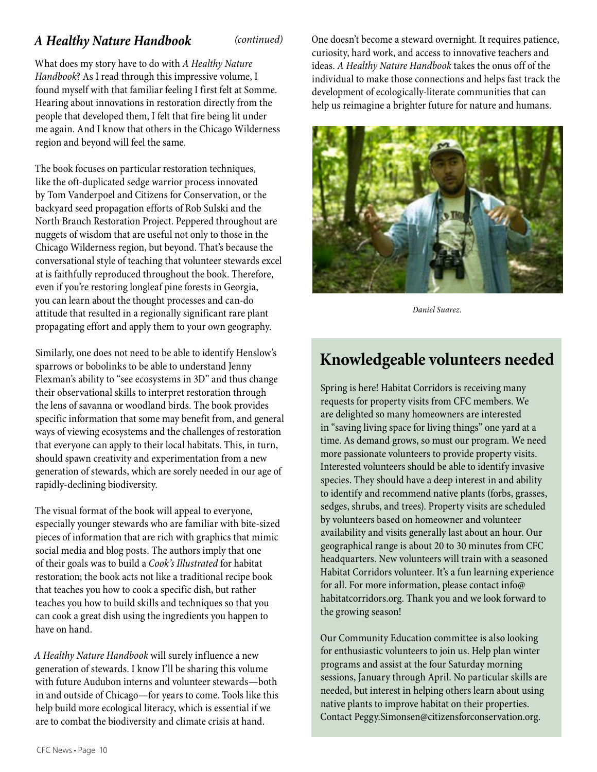What does my story have to do with *A Healthy Nature Handbook*? As I read through this impressive volume, I found myself with that familiar feeling I first felt at Somme. Hearing about innovations in restoration directly from the people that developed them, I felt that fire being lit under me again. And I know that others in the Chicago Wilderness region and beyond will feel the same.

The book focuses on particular restoration techniques, like the oft-duplicated sedge warrior process innovated by Tom Vanderpoel and Citizens for Conservation, or the backyard seed propagation efforts of Rob Sulski and the North Branch Restoration Project. Peppered throughout are nuggets of wisdom that are useful not only to those in the Chicago Wilderness region, but beyond. That's because the conversational style of teaching that volunteer stewards excel at is faithfully reproduced throughout the book. Therefore, even if you're restoring longleaf pine forests in Georgia, you can learn about the thought processes and can-do attitude that resulted in a regionally significant rare plant propagating effort and apply them to your own geography.

Similarly, one does not need to be able to identify Henslow's sparrows or bobolinks to be able to understand Jenny Flexman's ability to "see ecosystems in 3D" and thus change their observational skills to interpret restoration through the lens of savanna or woodland birds. The book provides specific information that some may benefit from, and general ways of viewing ecosystems and the challenges of restoration that everyone can apply to their local habitats. This, in turn, should spawn creativity and experimentation from a new generation of stewards, which are sorely needed in our age of rapidly-declining biodiversity.

The visual format of the book will appeal to everyone, especially younger stewards who are familiar with bite-sized pieces of information that are rich with graphics that mimic social media and blog posts. The authors imply that one of their goals was to build a *Cook's Illustrated* for habitat restoration; the book acts not like a traditional recipe book that teaches you how to cook a specific dish, but rather teaches you how to build skills and techniques so that you can cook a great dish using the ingredients you happen to have on hand.

*A Healthy Nature Handbook* will surely influence a new generation of stewards. I know I'll be sharing this volume with future Audubon interns and volunteer stewards—both in and outside of Chicago—for years to come. Tools like this help build more ecological literacy, which is essential if we are to combat the biodiversity and climate crisis at hand.

*A Healthy Nature Handbook (continued)* One doesn't become a steward overnight. It requires patience, curiosity, hard work, and access to innovative teachers and ideas. *A Healthy Nature Handbook* takes the onus off of the individual to make those connections and helps fast track the development of ecologically-literate communities that can help us reimagine a brighter future for nature and humans.



*Daniel Suarez.*

### **Knowledgeable volunteers needed**

Spring is here! Habitat Corridors is receiving many requests for property visits from CFC members. We are delighted so many homeowners are interested in "saving living space for living things" one yard at a time. As demand grows, so must our program. We need more passionate volunteers to provide property visits. Interested volunteers should be able to identify invasive species. They should have a deep interest in and ability to identify and recommend native plants (forbs, grasses, sedges, shrubs, and trees). Property visits are scheduled by volunteers based on homeowner and volunteer availability and visits generally last about an hour. Our geographical range is about 20 to 30 minutes from CFC headquarters. New volunteers will train with a seasoned Habitat Corridors volunteer. It's a fun learning experience for all. For more information, please contact info@ habitatcorridors.org. Thank you and we look forward to the growing season!

Our Community Education committee is also looking for enthusiastic volunteers to join us. Help plan winter programs and assist at the four Saturday morning sessions, January through April. No particular skills are needed, but interest in helping others learn about using native plants to improve habitat on their properties. Contact Peggy.Simonsen@citizensforconservation.org.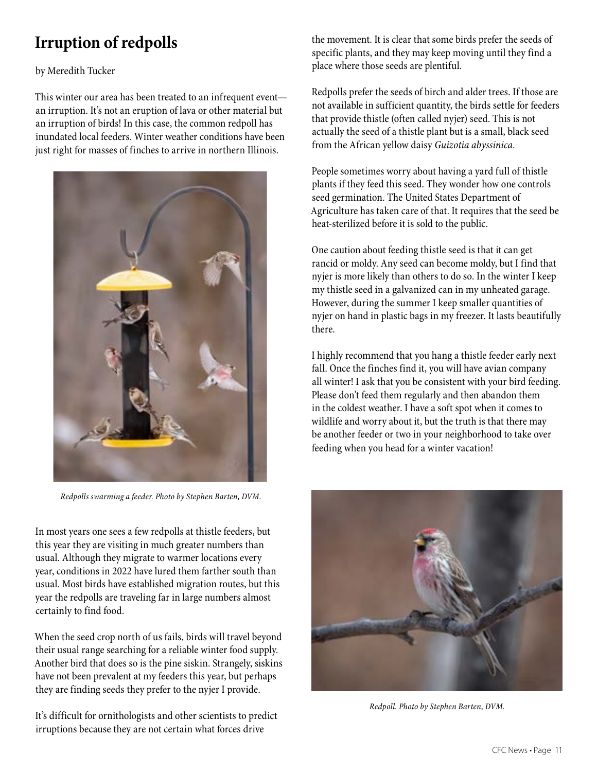### **Irruption of redpolls**

by Meredith Tucker

This winter our area has been treated to an infrequent event an irruption. It's not an eruption of lava or other material but an irruption of birds! In this case, the common redpoll has inundated local feeders. Winter weather conditions have been just right for masses of finches to arrive in northern Illinois.



*Redpolls swarming a feeder. Photo by Stephen Barten, DVM.*

In most years one sees a few redpolls at thistle feeders, but this year they are visiting in much greater numbers than usual. Although they migrate to warmer locations every year, conditions in 2022 have lured them farther south than usual. Most birds have established migration routes, but this year the redpolls are traveling far in large numbers almost certainly to find food.

When the seed crop north of us fails, birds will travel beyond their usual range searching for a reliable winter food supply. Another bird that does so is the pine siskin. Strangely, siskins have not been prevalent at my feeders this year, but perhaps they are finding seeds they prefer to the nyjer I provide.

It's difficult for ornithologists and other scientists to predict irruptions because they are not certain what forces drive

the movement. It is clear that some birds prefer the seeds of specific plants, and they may keep moving until they find a place where those seeds are plentiful.

Redpolls prefer the seeds of birch and alder trees. If those are not available in sufficient quantity, the birds settle for feeders that provide thistle (often called nyjer) seed. This is not actually the seed of a thistle plant but is a small, black seed from the African yellow daisy *Guizotia abyssinica.* 

People sometimes worry about having a yard full of thistle plants if they feed this seed. They wonder how one controls seed germination. The United States Department of Agriculture has taken care of that. It requires that the seed be heat-sterilized before it is sold to the public.

One caution about feeding thistle seed is that it can get rancid or moldy. Any seed can become moldy, but I find that nyjer is more likely than others to do so. In the winter I keep my thistle seed in a galvanized can in my unheated garage. However, during the summer I keep smaller quantities of nyjer on hand in plastic bags in my freezer. It lasts beautifully there.

I highly recommend that you hang a thistle feeder early next fall. Once the finches find it, you will have avian company all winter! I ask that you be consistent with your bird feeding. Please don't feed them regularly and then abandon them in the coldest weather. I have a soft spot when it comes to wildlife and worry about it, but the truth is that there may be another feeder or two in your neighborhood to take over feeding when you head for a winter vacation!



*Redpoll. Photo by Stephen Barten, DVM.*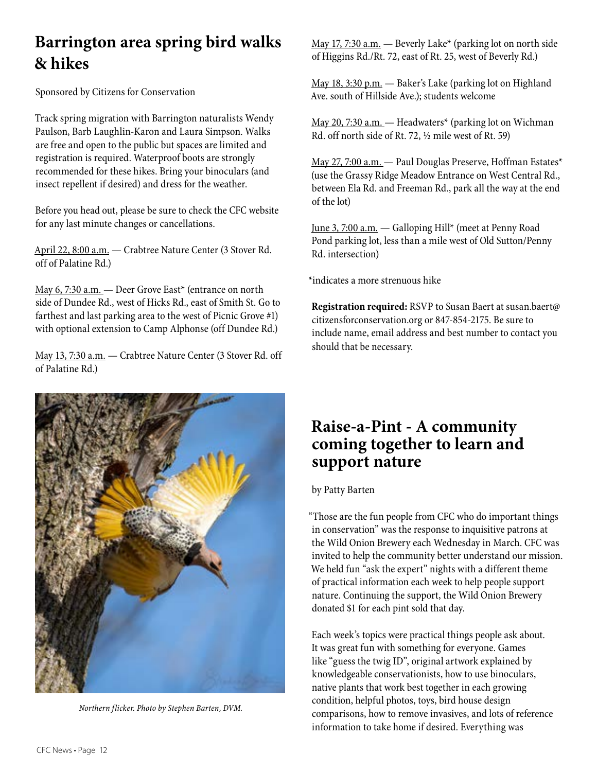### **Barrington area spring bird walks & hikes**

Sponsored by Citizens for Conservation

Track spring migration with Barrington naturalists Wendy Paulson, Barb Laughlin-Karon and Laura Simpson. Walks are free and open to the public but spaces are limited and registration is required. Waterproof boots are strongly recommended for these hikes. Bring your binoculars (and insect repellent if desired) and dress for the weather.

Before you head out, please be sure to check the CFC website for any last minute changes or cancellations.

April 22, 8:00 a.m. — Crabtree Nature Center (3 Stover Rd. off of Palatine Rd.)

May 6, 7:30 a.m. - Deer Grove East\* (entrance on north side of Dundee Rd., west of Hicks Rd., east of Smith St. Go to farthest and last parking area to the west of Picnic Grove #1) with optional extension to Camp Alphonse (off Dundee Rd.)

May 13, 7:30 a.m. — Crabtree Nature Center (3 Stover Rd. off of Palatine Rd.)



*Northern flicker. Photo by Stephen Barten, DVM.*

May 17, 7:30 a.m.  $-$  Beverly Lake\* (parking lot on north side of Higgins Rd./Rt. 72, east of Rt. 25, west of Beverly Rd.)

May 18, 3:30 p.m. — Baker's Lake (parking lot on Highland Ave. south of Hillside Ave.); students welcome

May 20, 7:30 a.m. — Headwaters\* (parking lot on Wichman Rd. off north side of Rt. 72, ½ mile west of Rt. 59)

May 27, 7:00 a.m. — Paul Douglas Preserve, Hoffman Estates\* (use the Grassy Ridge Meadow Entrance on West Central Rd., between Ela Rd. and Freeman Rd., park all the way at the end of the lot)

June 3, 7:00 a.m. — Galloping Hill\* (meet at Penny Road Pond parking lot, less than a mile west of Old Sutton/Penny Rd. intersection)

\*indicates a more strenuous hike

**Registration required:** RSVP to Susan Baert at susan.baert@ citizensforconservation.org or 847-854-2175. Be sure to include name, email address and best number to contact you should that be necessary.

### **Raise-a-Pint - A community coming together to learn and support nature**

#### by Patty Barten

"Those are the fun people from CFC who do important things in conservation" was the response to inquisitive patrons at the Wild Onion Brewery each Wednesday in March. CFC was invited to help the community better understand our mission. We held fun "ask the expert" nights with a different theme of practical information each week to help people support nature. Continuing the support, the Wild Onion Brewery donated \$1 for each pint sold that day.

Each week's topics were practical things people ask about. It was great fun with something for everyone. Games like "guess the twig ID", original artwork explained by knowledgeable conservationists, how to use binoculars, native plants that work best together in each growing condition, helpful photos, toys, bird house design comparisons, how to remove invasives, and lots of reference information to take home if desired. Everything was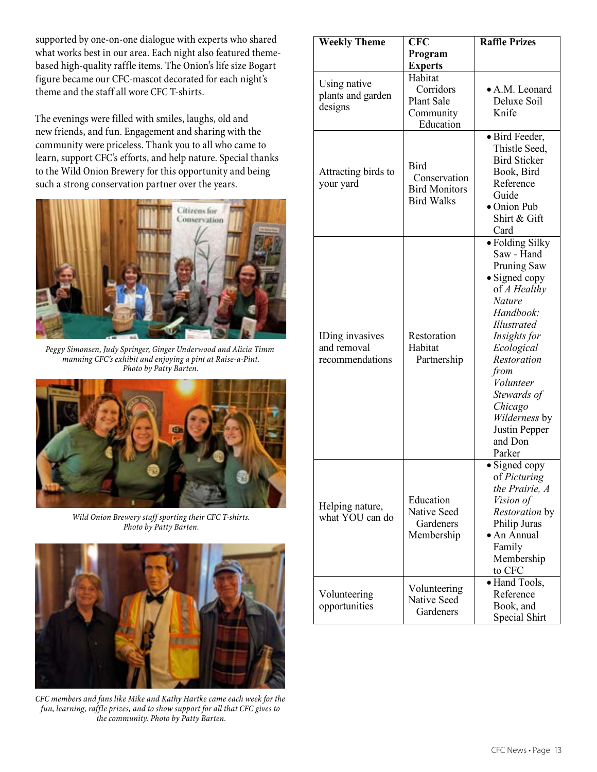supported by one-on-one dialogue with experts who shared supported by one-on-one dialogue with experts who shared<br>what works best in our area. Each night also featured themebased high-quality raffle items. The Onion's life size Bogart figure became our CFC-mascot decorated for each night's theme and the staff all wore CFC T-shirts. **support nature** 

The evenings were filled with smiles, laughs, old and new friends, and fun. Engagement and sharing with the new richus, and fun. Engagement and sharing while the community were priceless. Thank you to all who came to learn, support CFC's efforts, and help nature. Special thanks to the Wild Onion Brewery for this opportunity and being such a strong conservation partner over the years.  $\frac{1}{2}$  in conservative priceless. Thank you to all who came to



Peggy Simonsen, Judy Springer, Ginger Underwood and Alicia Timm *manning CFC's exhibit and enjoying a pint at Raise-a-Pint.* **Photo by Patty Barten.** 



*Wild Onion Brewery staff sporting their CFC T-shirts. Photo by Patty Barten.*



*CFC members and fans like Mike and Kathy Hartke came each week for the fun, learning, raffle prizes, and to show support for all that CFC gives to the community. Photo by Patty Barten.*

| <b>Weekly Theme</b>                               | <b>CFC</b>                                                                     | <b>Raffle Prizes</b>                                                                                                                                                                                                                                                                         |
|---------------------------------------------------|--------------------------------------------------------------------------------|----------------------------------------------------------------------------------------------------------------------------------------------------------------------------------------------------------------------------------------------------------------------------------------------|
|                                                   | Program                                                                        |                                                                                                                                                                                                                                                                                              |
| Using native<br>plants and garden<br>designs      | <b>Experts</b><br>Habitat<br>Corridors<br>Plant Sale<br>Community<br>Education | • A.M. Leonard<br>Deluxe Soil<br>Knife                                                                                                                                                                                                                                                       |
| Attracting birds to<br>your yard                  | <b>Bird</b><br>Conservation<br><b>Bird Monitors</b><br><b>Bird Walks</b>       | · Bird Feeder,<br>Thistle Seed,<br><b>Bird Sticker</b><br>Book, Bird<br>Reference<br>Guide<br>$\bullet$ Onion Pub<br>Shirt & Gift<br>Card                                                                                                                                                    |
| IDing invasives<br>and removal<br>recommendations | Restoration<br>Habitat<br>Partnership                                          | · Folding Silky<br>Saw - Hand<br>Pruning Saw<br>$\bullet$ Signed copy<br>of A Healthy<br><b>Nature</b><br>Handbook:<br><i>Illustrated</i><br>Insights for<br>Ecological<br>Restoration<br>from<br>Volunteer<br>Stewards of<br>Chicago<br>Wilderness by<br>Justin Pepper<br>and Don<br>Parker |
| Helping nature,<br>what YOU can do                | Education<br>Native Seed<br>Gardeners<br>Membership                            | · Signed copy<br>of Picturing<br>the Prairie, A<br><i>Vision of</i><br>Restoration by<br>Philip Juras<br>• An Annual<br>Family<br>Membership<br>to CFC                                                                                                                                       |
| Volunteering<br>opportunities                     | Volunteering<br>Native Seed<br>Gardeners                                       | · Hand Tools,<br>Reference<br>Book, and<br>Special Shirt                                                                                                                                                                                                                                     |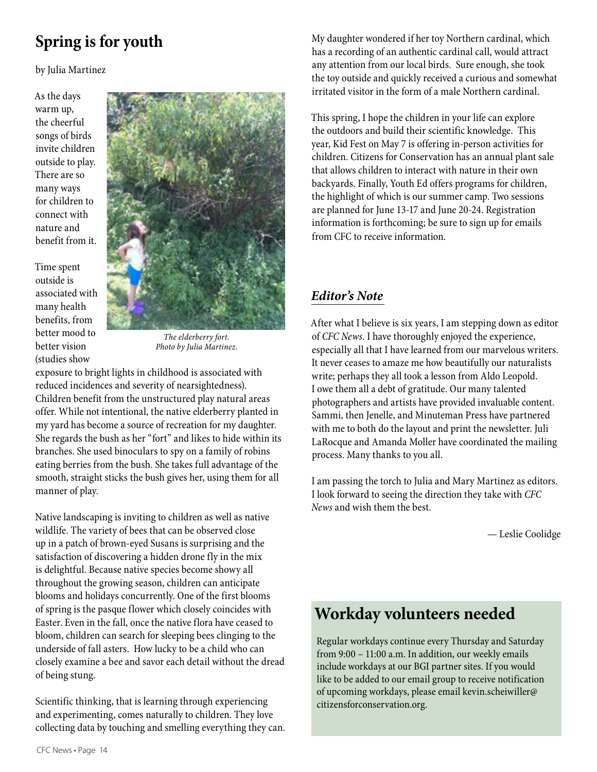## **Spring is for youth**

by Julia Martinez

As the days warm up, the cheerful songs of birds invite children outside to play. There are so many ways for children to connect with nature and benefit from it.

Time spent outside is associated with many health benefits, from better mood to better vision (studies show



*The elderberry fort. Photo by Julia Martinez.*

exposure to bright lights in childhood is associated with reduced incidences and severity of nearsightedness). Children benefit from the unstructured play natural areas offer. While not intentional, the native elderberry planted in my yard has become a source of recreation for my daughter. She regards the bush as her "fort" and likes to hide within its branches. She used binoculars to spy on a family of robins eating berries from the bush. She takes full advantage of the smooth, straight sticks the bush gives her, using them for all manner of play.

Native landscaping is inviting to children as well as native wildlife. The variety of bees that can be observed close up in a patch of brown-eyed Susans is surprising and the satisfaction of discovering a hidden drone fly in the mix is delightful. Because native species become showy all throughout the growing season, children can anticipate blooms and holidays concurrently. One of the first blooms of spring is the pasque flower which closely coincides with Easter. Even in the fall, once the native flora have ceased to bloom, children can search for sleeping bees clinging to the underside of fall asters. How lucky to be a child who can closely examine a bee and savor each detail without the dread of being stung.

Scientific thinking, that is learning through experiencing and experimenting, comes naturally to children. They love collecting data by touching and smelling everything they can.

My daughter wondered if her toy Northern cardinal, which has a recording of an authentic cardinal call, would attract any attention from our local birds. Sure enough, she took the toy outside and quickly received a curious and somewhat irritated visitor in the form of a male Northern cardinal.

This spring, I hope the children in your life can explore the outdoors and build their scientific knowledge. This year, Kid Fest on May 7 is offering in-person activities for children. Citizens for Conservation has an annual plant sale that allows children to interact with nature in their own backyards. Finally, Youth Ed offers programs for children, the highlight of which is our summer camp. Two sessions are planned for June 13-17 and June 20-24. Registration information is forthcoming; be sure to sign up for emails from CFC to receive information.

#### *Editor's Note*

After what I believe is six years, I am stepping down as editor of *CFC News.* I have thoroughly enjoyed the experience, especially all that I have learned from our marvelous writers. It never ceases to amaze me how beautifully our naturalists write; perhaps they all took a lesson from Aldo Leopold. I owe them all a debt of gratitude. Our many talented photographers and artists have provided invaluable content. Sammi, then Jenelle, and Minuteman Press have partnered with me to both do the layout and print the newsletter. Juli LaRocque and Amanda Moller have coordinated the mailing process. Many thanks to you all.

I am passing the torch to Julia and Mary Martinez as editors. I look forward to seeing the direction they take with *CFC News* and wish them the best.

— Leslie Coolidge

### **Workday volunteers needed**

Regular workdays continue every Thursday and Saturday from 9:00 – 11:00 a.m. In addition, our weekly emails include workdays at our BGI partner sites. If you would like to be added to our email group to receive notification of upcoming workdays, please email kevin.scheiwiller@ citizensforconservation.org.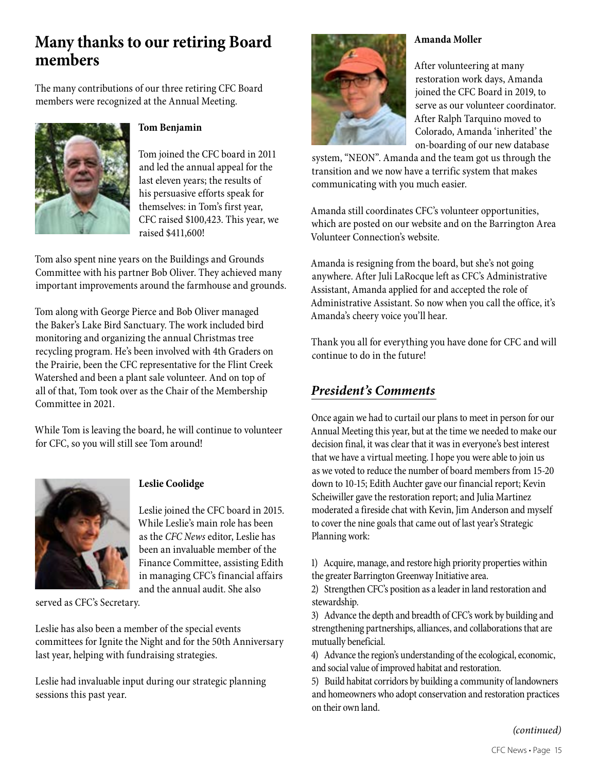### **Many thanks to our retiring Board members**

The many contributions of our three retiring CFC Board members were recognized at the Annual Meeting.



#### **Tom Benjamin**

Tom joined the CFC board in 2011 and led the annual appeal for the last eleven years; the results of his persuasive efforts speak for themselves: in Tom's first year, CFC raised \$100,423. This year, we raised \$411,600!

Tom also spent nine years on the Buildings and Grounds Committee with his partner Bob Oliver. They achieved many important improvements around the farmhouse and grounds.

Tom along with George Pierce and Bob Oliver managed the Baker's Lake Bird Sanctuary. The work included bird monitoring and organizing the annual Christmas tree recycling program. He's been involved with 4th Graders on the Prairie, been the CFC representative for the Flint Creek Watershed and been a plant sale volunteer. And on top of all of that, Tom took over as the Chair of the Membership Committee in 2021.

While Tom is leaving the board, he will continue to volunteer for CFC, so you will still see Tom around!



#### **Leslie Coolidge**

Leslie joined the CFC board in 2015. While Leslie's main role has been as the *CFC News* editor, Leslie has been an invaluable member of the Finance Committee, assisting Edith in managing CFC's financial affairs and the annual audit. She also

served as CFC's Secretary.

Leslie has also been a member of the special events committees for Ignite the Night and for the 50th Anniversary last year, helping with fundraising strategies.

Leslie had invaluable input during our strategic planning sessions this past year.

#### **Amanda Moller**

After volunteering at many restoration work days, Amanda joined the CFC Board in 2019, to serve as our volunteer coordinator. After Ralph Tarquino moved to Colorado, Amanda 'inherited' the on-boarding of our new database

system, "NEON". Amanda and the team got us through the transition and we now have a terrific system that makes communicating with you much easier.

Amanda still coordinates CFC's volunteer opportunities, which are posted on our website and on the Barrington Area Volunteer Connection's website.

Amanda is resigning from the board, but she's not going anywhere. After Juli LaRocque left as CFC's Administrative Assistant, Amanda applied for and accepted the role of Administrative Assistant. So now when you call the office, it's Amanda's cheery voice you'll hear.

Thank you all for everything you have done for CFC and will continue to do in the future!

#### *President's Comments*

Once again we had to curtail our plans to meet in person for our Annual Meeting this year, but at the time we needed to make our decision final, it was clear that it was in everyone's best interest that we have a virtual meeting. I hope you were able to join us as we voted to reduce the number of board members from 15-20 down to 10-15; Edith Auchter gave our financial report; Kevin Scheiwiller gave the restoration report; and Julia Martinez moderated a fireside chat with Kevin, Jim Anderson and myself to cover the nine goals that came out of last year's Strategic Planning work:

1) Acquire, manage, and restore high priority properties within the greater Barrington Greenway Initiative area.

2) Strengthen CFC's position as a leader in land restoration and stewardship.

3) Advance the depth and breadth of CFC's work by building and strengthening partnerships, alliances, and collaborations that are mutually beneficial.

4) Advance the region's understanding of the ecological, economic, and social value of improved habitat and restoration.

5) Build habitat corridors by building a community of landowners and homeowners who adopt conservation and restoration practices on their own land.